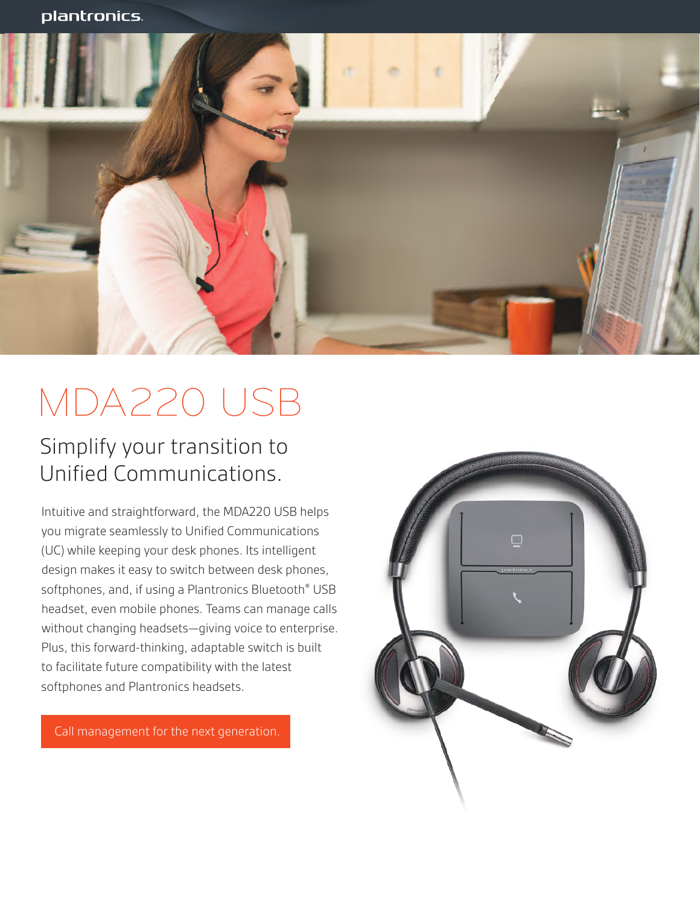

# MDA220 USB

### Simplify your transition to Unified Communications.

Intuitive and straightforward, the MDA220 USB helps you migrate seamlessly to Unified Communications (UC) while keeping your desk phones. Its intelligent design makes it easy to switch between desk phones, softphones, and, if using a Plantronics Bluetooth<sup>®</sup> USB headset, even mobile phones. Teams can manage calls without changing headsets—giving voice to enterprise. Plus, this forward-thinking, adaptable switch is built to facilitate future compatibility with the latest softphones and Plantronics headsets.

Call management for the next generation.